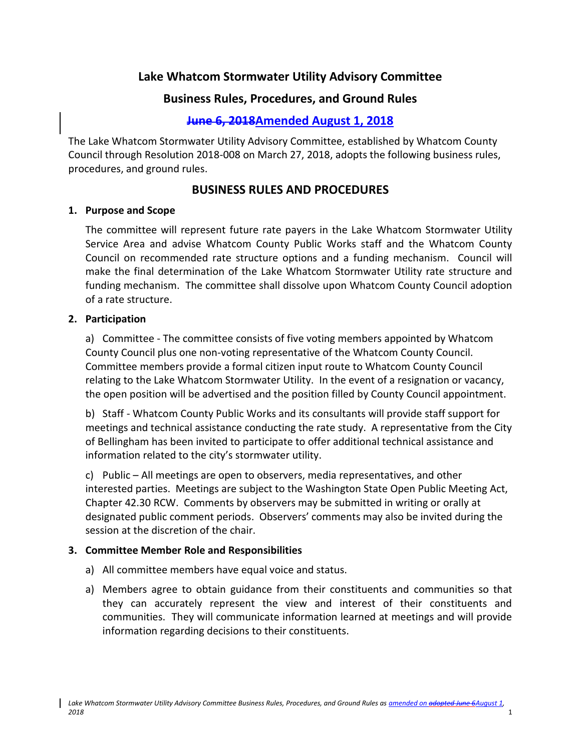# **Lake Whatcom Stormwater Utility Advisory Committee**

# **Business Rules, Procedures, and Ground Rules**

# **June 6, 2018Amended August 1, 2018**

The Lake Whatcom Stormwater Utility Advisory Committee, established by Whatcom County Council through Resolution 2018-008 on March 27, 2018, adopts the following business rules, procedures, and ground rules.

## **BUSINESS RULES AND PROCEDURES**

#### **1. Purpose and Scope**

The committee will represent future rate payers in the Lake Whatcom Stormwater Utility Service Area and advise Whatcom County Public Works staff and the Whatcom County Council on recommended rate structure options and a funding mechanism. Council will make the final determination of the Lake Whatcom Stormwater Utility rate structure and funding mechanism. The committee shall dissolve upon Whatcom County Council adoption of a rate structure.

#### **2. Participation**

a) Committee - The committee consists of five voting members appointed by Whatcom County Council plus one non-voting representative of the Whatcom County Council. Committee members provide a formal citizen input route to Whatcom County Council relating to the Lake Whatcom Stormwater Utility. In the event of a resignation or vacancy, the open position will be advertised and the position filled by County Council appointment.

b) Staff - Whatcom County Public Works and its consultants will provide staff support for meetings and technical assistance conducting the rate study. A representative from the City of Bellingham has been invited to participate to offer additional technical assistance and information related to the city's stormwater utility.

c) Public – All meetings are open to observers, media representatives, and other interested parties. Meetings are subject to the Washington State Open Public Meeting Act, Chapter 42.30 RCW. Comments by observers may be submitted in writing or orally at designated public comment periods. Observers' comments may also be invited during the session at the discretion of the chair.

## **3. Committee Member Role and Responsibilities**

- a) All committee members have equal voice and status.
- a) Members agree to obtain guidance from their constituents and communities so that they can accurately represent the view and interest of their constituents and communities. They will communicate information learned at meetings and will provide information regarding decisions to their constituents.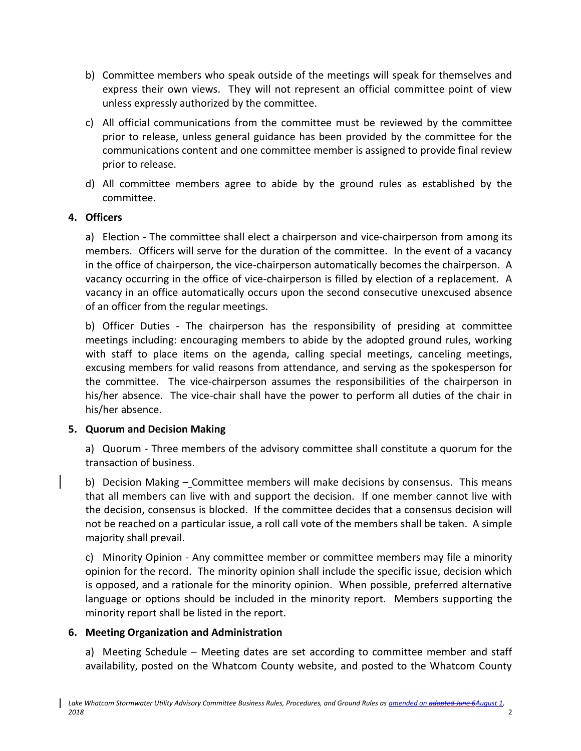- b) Committee members who speak outside of the meetings will speak for themselves and express their own views. They will not represent an official committee point of view unless expressly authorized by the committee.
- c) All official communications from the committee must be reviewed by the committee prior to release, unless general guidance has been provided by the committee for the communications content and one committee member is assigned to provide final review prior to release.
- d) All committee members agree to abide by the ground rules as established by the committee.

## **4. Officers**

a) Election - The committee shall elect a chairperson and vice-chairperson from among its members. Officers will serve for the duration of the committee. In the event of a vacancy in the office of chairperson, the vice-chairperson automatically becomes the chairperson. A vacancy occurring in the office of vice-chairperson is filled by election of a replacement. A vacancy in an office automatically occurs upon the second consecutive unexcused absence of an officer from the regular meetings.

b) Officer Duties - The chairperson has the responsibility of presiding at committee meetings including: encouraging members to abide by the adopted ground rules, working with staff to place items on the agenda, calling special meetings, canceling meetings, excusing members for valid reasons from attendance, and serving as the spokesperson for the committee. The vice-chairperson assumes the responsibilities of the chairperson in his/her absence. The vice-chair shall have the power to perform all duties of the chair in his/her absence.

## **5. Quorum and Decision Making**

a) Quorum - Three members of the advisory committee shall constitute a quorum for the transaction of business.

b) Decision Making – Committee members will make decisions by consensus. This means that all members can live with and support the decision. If one member cannot live with the decision, consensus is blocked. If the committee decides that a consensus decision will not be reached on a particular issue, a roll call vote of the members shall be taken. A simple majority shall prevail.

c) Minority Opinion - Any committee member or committee members may file a minority opinion for the record. The minority opinion shall include the specific issue, decision which is opposed, and a rationale for the minority opinion. When possible, preferred alternative language or options should be included in the minority report. Members supporting the minority report shall be listed in the report.

## **6. Meeting Organization and Administration**

a) Meeting Schedule – Meeting dates are set according to committee member and staff availability, posted on the Whatcom County website, and posted to the Whatcom County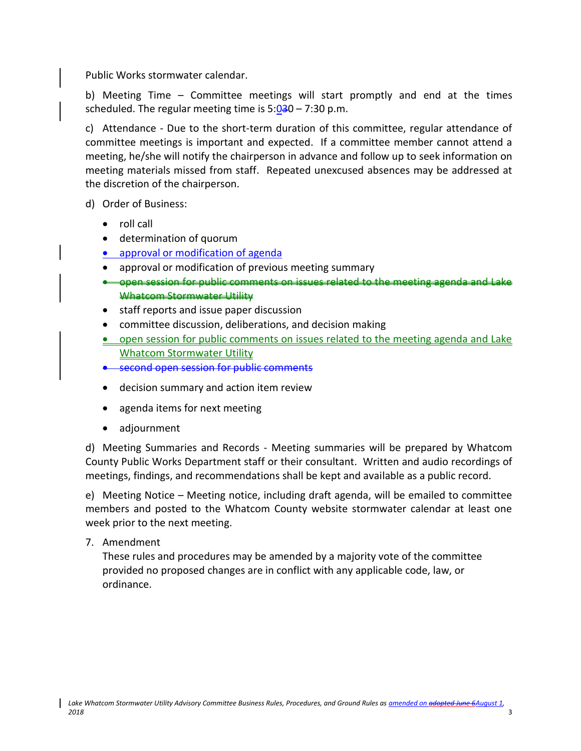Public Works stormwater calendar.

b) Meeting Time – Committee meetings will start promptly and end at the times scheduled. The regular meeting time is  $5:030 - 7:30$  p.m.

c) Attendance - Due to the short-term duration of this committee, regular attendance of committee meetings is important and expected. If a committee member cannot attend a meeting, he/she will notify the chairperson in advance and follow up to seek information on meeting materials missed from staff. Repeated unexcused absences may be addressed at the discretion of the chairperson.

- d) Order of Business:
	- roll call
	- determination of quorum
	- approval or modification of agenda
	- approval or modification of previous meeting summary
	- **•** open session for public comments on issues related to the meeting Whatcom Stormwater Utility
	- staff reports and issue paper discussion
	- committee discussion, deliberations, and decision making
	- open session for public comments on issues related to the meeting agenda and Lake Whatcom Stormwater Utility
	- second open session for public comments
	- decision summary and action item review
	- agenda items for next meeting
	- adjournment

d) Meeting Summaries and Records - Meeting summaries will be prepared by Whatcom County Public Works Department staff or their consultant. Written and audio recordings of meetings, findings, and recommendations shall be kept and available as a public record.

e) Meeting Notice – Meeting notice, including draft agenda, will be emailed to committee members and posted to the Whatcom County website stormwater calendar at least one week prior to the next meeting.

7. Amendment

These rules and procedures may be amended by a majority vote of the committee provided no proposed changes are in conflict with any applicable code, law, or ordinance.